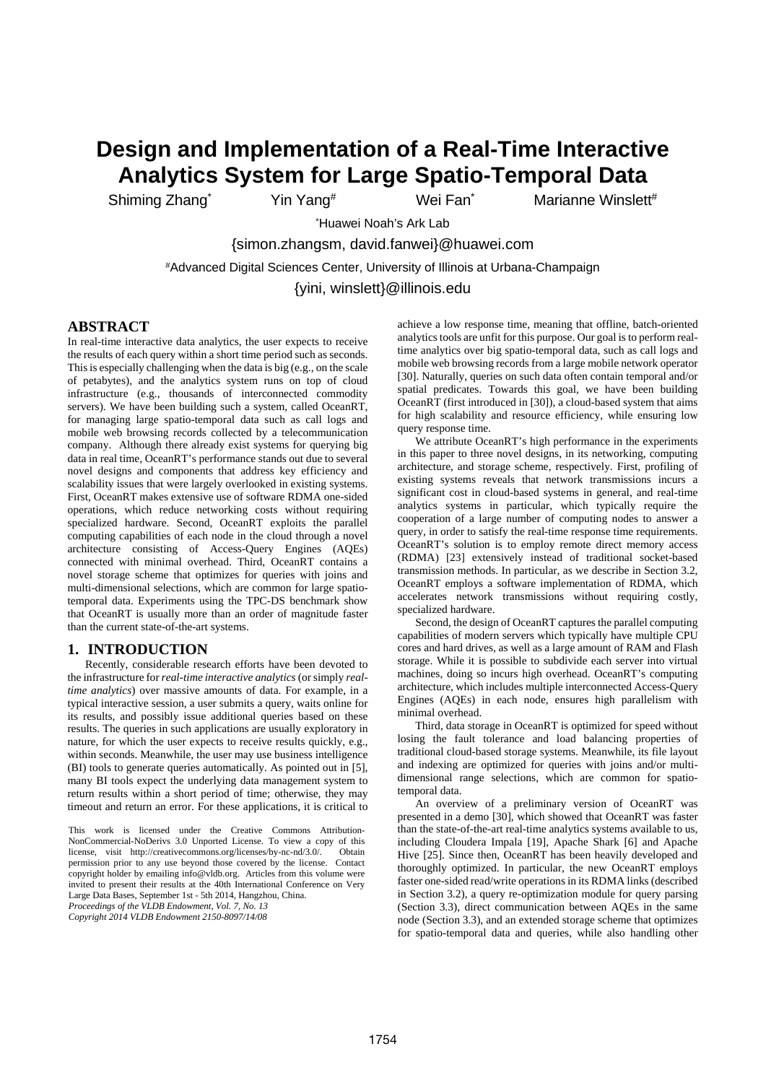# **Design and Implementation of a Real-Time Interactive Analytics System for Large Spatio-Temporal Data**

Shiming Zhang<sup>\*</sup>

Yin Yang<sup>#</sup> Wei Fan<sup>\*</sup>

Marianne Winslett#

\* Huawei Noah's Ark Lab

{simon.zhangsm, david.fanwei}@huawei.com

#Advanced Digital Sciences Center, University of Illinois at Urbana-Champaign

{yini, winslett}@illinois.edu

## **ABSTRACT**

In real-time interactive data analytics, the user expects to receive the results of each query within a short time period such as seconds. This is especially challenging when the data is big (e.g., on the scale of petabytes), and the analytics system runs on top of cloud infrastructure (e.g., thousands of interconnected commodity servers). We have been building such a system, called OceanRT, for managing large spatio-temporal data such as call logs and mobile web browsing records collected by a telecommunication company. Although there already exist systems for querying big data in real time, OceanRT's performance stands out due to several novel designs and components that address key efficiency and scalability issues that were largely overlooked in existing systems. First, OceanRT makes extensive use of software RDMA one-sided operations, which reduce networking costs without requiring specialized hardware. Second, OceanRT exploits the parallel computing capabilities of each node in the cloud through a novel architecture consisting of Access-Query Engines (AQEs) connected with minimal overhead. Third, OceanRT contains a novel storage scheme that optimizes for queries with joins and multi-dimensional selections, which are common for large spatiotemporal data. Experiments using the TPC-DS benchmark show that OceanRT is usually more than an order of magnitude faster than the current state-of-the-art systems.

## **1. INTRODUCTION**

Recently, considerable research efforts have been devoted to the infrastructure for *real-time interactive analytics* (or simply *realtime analytics*) over massive amounts of data. For example, in a typical interactive session, a user submits a query, waits online for its results, and possibly issue additional queries based on these results. The queries in such applications are usually exploratory in nature, for which the user expects to receive results quickly, e.g., within seconds. Meanwhile, the user may use business intelligence (BI) tools to generate queries automatically. As pointed out in [5], many BI tools expect the underlying data management system to return results within a short period of time; otherwise, they may timeout and return an error. For these applications, it is critical to

This work is licensed under the Creative Commons Attribution-NonCommercial-NoDerivs 3.0 Unported License. To view a copy of this license. visit http://creativecommons.org/licenses/bv-nc-nd/3.0/. Obtain license, visit http://creativecommons.org/licenses/by-nc-nd/3.0/. permission prior to any use beyond those covered by the license. Contact copyright holder by emailing info@vldb.org. Articles from this volume were invited to present their results at the 40th International Conference on Very Large Data Bases, September 1st - 5th 2014, Hangzhou, China.

*Proceedings of the VLDB Endowment, Vol. 7, No. 13* 

*Copyright 2014 VLDB Endowment 2150-8097/14/08* 

achieve a low response time, meaning that offline, batch-oriented analytics tools are unfit for this purpose. Our goal is to perform realtime analytics over big spatio-temporal data, such as call logs and mobile web browsing records from a large mobile network operator [30]. Naturally, queries on such data often contain temporal and/or spatial predicates. Towards this goal, we have been building OceanRT (first introduced in [30]), a cloud-based system that aims for high scalability and resource efficiency, while ensuring low query response time.

We attribute OceanRT's high performance in the experiments in this paper to three novel designs, in its networking, computing architecture, and storage scheme, respectively. First, profiling of existing systems reveals that network transmissions incurs a significant cost in cloud-based systems in general, and real-time analytics systems in particular, which typically require the cooperation of a large number of computing nodes to answer a query, in order to satisfy the real-time response time requirements. OceanRT's solution is to employ remote direct memory access (RDMA) [23] extensively instead of traditional socket-based transmission methods. In particular, as we describe in Section 3.2, OceanRT employs a software implementation of RDMA, which accelerates network transmissions without requiring costly, specialized hardware.

Second, the design of OceanRT captures the parallel computing capabilities of modern servers which typically have multiple CPU cores and hard drives, as well as a large amount of RAM and Flash storage. While it is possible to subdivide each server into virtual machines, doing so incurs high overhead. OceanRT's computing architecture, which includes multiple interconnected Access-Query Engines (AQEs) in each node, ensures high parallelism with minimal overhead.

Third, data storage in OceanRT is optimized for speed without losing the fault tolerance and load balancing properties of traditional cloud-based storage systems. Meanwhile, its file layout and indexing are optimized for queries with joins and/or multidimensional range selections, which are common for spatiotemporal data.

An overview of a preliminary version of OceanRT was presented in a demo [30], which showed that OceanRT was faster than the state-of-the-art real-time analytics systems available to us, including Cloudera Impala [19], Apache Shark [6] and Apache Hive [25]. Since then, OceanRT has been heavily developed and thoroughly optimized. In particular, the new OceanRT employs faster one-sided read/write operations in its RDMA links (described in Section 3.2), a query re-optimization module for query parsing (Section 3.3), direct communication between AQEs in the same node (Section 3.3), and an extended storage scheme that optimizes for spatio-temporal data and queries, while also handling other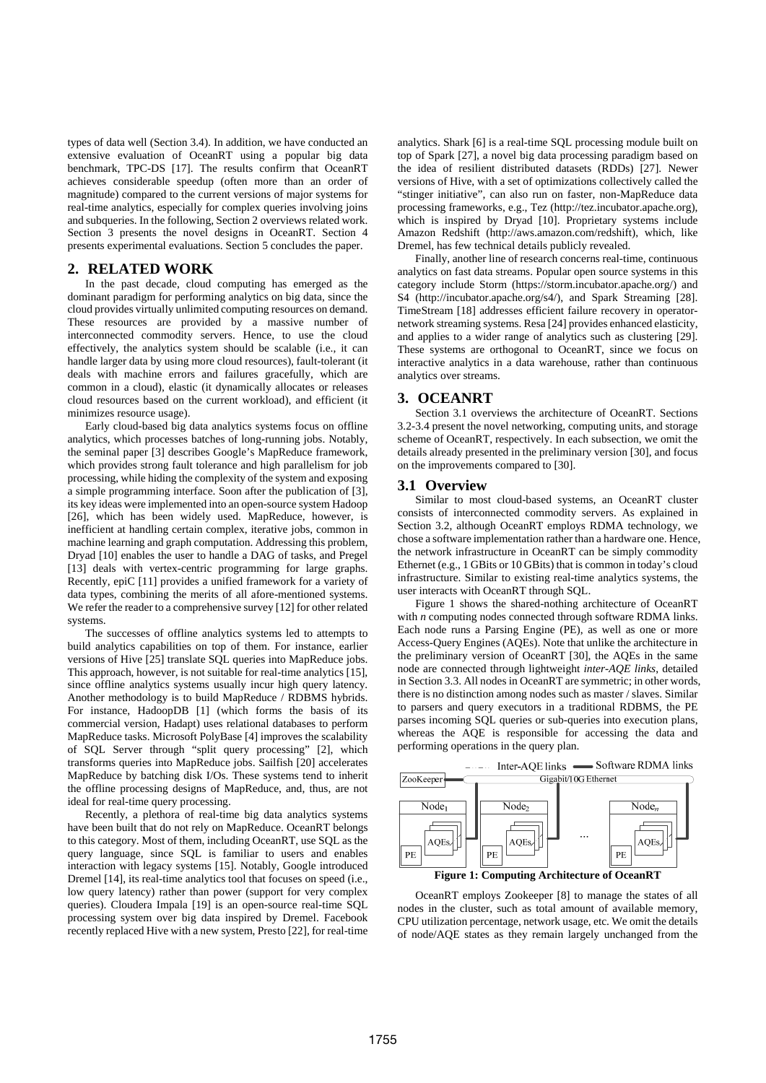types of data well (Section 3.4). In addition, we have conducted an extensive evaluation of OceanRT using a popular big data benchmark, TPC-DS [17]. The results confirm that OceanRT achieves considerable speedup (often more than an order of magnitude) compared to the current versions of major systems for real-time analytics, especially for complex queries involving joins and subqueries. In the following, Section 2 overviews related work. Section 3 presents the novel designs in OceanRT. Section 4 presents experimental evaluations. Section 5 concludes the paper.

#### **2. RELATED WORK**

In the past decade, cloud computing has emerged as the dominant paradigm for performing analytics on big data, since the cloud provides virtually unlimited computing resources on demand. These resources are provided by a massive number of interconnected commodity servers. Hence, to use the cloud effectively, the analytics system should be scalable (i.e., it can handle larger data by using more cloud resources), fault-tolerant (it deals with machine errors and failures gracefully, which are common in a cloud), elastic (it dynamically allocates or releases cloud resources based on the current workload), and efficient (it minimizes resource usage).

Early cloud-based big data analytics systems focus on offline analytics, which processes batches of long-running jobs. Notably, the seminal paper [3] describes Google's MapReduce framework, which provides strong fault tolerance and high parallelism for job processing, while hiding the complexity of the system and exposing a simple programming interface. Soon after the publication of [3], its key ideas were implemented into an open-source system Hadoop [26], which has been widely used. MapReduce, however, is inefficient at handling certain complex, iterative jobs, common in machine learning and graph computation. Addressing this problem, Dryad [10] enables the user to handle a DAG of tasks, and Pregel [13] deals with vertex-centric programming for large graphs. Recently, epiC [11] provides a unified framework for a variety of data types, combining the merits of all afore-mentioned systems. We refer the reader to a comprehensive survey [12] for other related systems.

The successes of offline analytics systems led to attempts to build analytics capabilities on top of them. For instance, earlier versions of Hive [25] translate SQL queries into MapReduce jobs. This approach, however, is not suitable for real-time analytics [15], since offline analytics systems usually incur high query latency. Another methodology is to build MapReduce / RDBMS hybrids. For instance, HadoopDB [1] (which forms the basis of its commercial version, Hadapt) uses relational databases to perform MapReduce tasks. Microsoft PolyBase [4] improves the scalability of SQL Server through "split query processing" [2], which transforms queries into MapReduce jobs. Sailfish [20] accelerates MapReduce by batching disk I/Os. These systems tend to inherit the offline processing designs of MapReduce, and, thus, are not ideal for real-time query processing.

Recently, a plethora of real-time big data analytics systems have been built that do not rely on MapReduce. OceanRT belongs to this category. Most of them, including OceanRT, use SQL as the query language, since SQL is familiar to users and enables interaction with legacy systems [15]. Notably, Google introduced Dremel [14], its real-time analytics tool that focuses on speed (i.e., low query latency) rather than power (support for very complex queries). Cloudera Impala [19] is an open-source real-time SQL processing system over big data inspired by Dremel. Facebook recently replaced Hive with a new system, Presto [22], for real-time

analytics. Shark [6] is a real-time SQL processing module built on top of Spark [27], a novel big data processing paradigm based on the idea of resilient distributed datasets (RDDs) [27]. Newer versions of Hive, with a set of optimizations collectively called the "stinger initiative", can also run on faster, non-MapReduce data processing frameworks, e.g., Tez (http://tez.incubator.apache.org), which is inspired by Dryad [10]. Proprietary systems include Amazon Redshift (http://aws.amazon.com/redshift), which, like Dremel, has few technical details publicly revealed.

Finally, another line of research concerns real-time, continuous analytics on fast data streams. Popular open source systems in this category include Storm (https://storm.incubator.apache.org/) and S4 (http://incubator.apache.org/s4/), and Spark Streaming [28]. TimeStream [18] addresses efficient failure recovery in operatornetwork streaming systems. Resa [24] provides enhanced elasticity, and applies to a wider range of analytics such as clustering [29]. These systems are orthogonal to OceanRT, since we focus on interactive analytics in a data warehouse, rather than continuous analytics over streams.

### **3. OCEANRT**

Section 3.1 overviews the architecture of OceanRT. Sections 3.2-3.4 present the novel networking, computing units, and storage scheme of OceanRT, respectively. In each subsection, we omit the details already presented in the preliminary version [30], and focus on the improvements compared to [30].

#### **3.1 Overview**

Similar to most cloud-based systems, an OceanRT cluster consists of interconnected commodity servers. As explained in Section 3.2, although OceanRT employs RDMA technology, we chose a software implementation rather than a hardware one. Hence, the network infrastructure in OceanRT can be simply commodity Ethernet (e.g., 1 GBits or 10 GBits) that is common in today's cloud infrastructure. Similar to existing real-time analytics systems, the user interacts with OceanRT through SQL.

Figure 1 shows the shared-nothing architecture of OceanRT with *n* computing nodes connected through software RDMA links. Each node runs a Parsing Engine (PE), as well as one or more Access-Query Engines (AQEs). Note that unlike the architecture in the preliminary version of OceanRT [30], the AQEs in the same node are connected through lightweight *inter-AQE links*, detailed in Section 3.3. All nodes in OceanRT are symmetric; in other words, there is no distinction among nodes such as master / slaves. Similar to parsers and query executors in a traditional RDBMS, the PE parses incoming SQL queries or sub-queries into execution plans, whereas the AQE is responsible for accessing the data and performing operations in the query plan.



OceanRT employs Zookeeper [8] to manage the states of all nodes in the cluster, such as total amount of available memory, CPU utilization percentage, network usage, etc. We omit the details of node/AQE states as they remain largely unchanged from the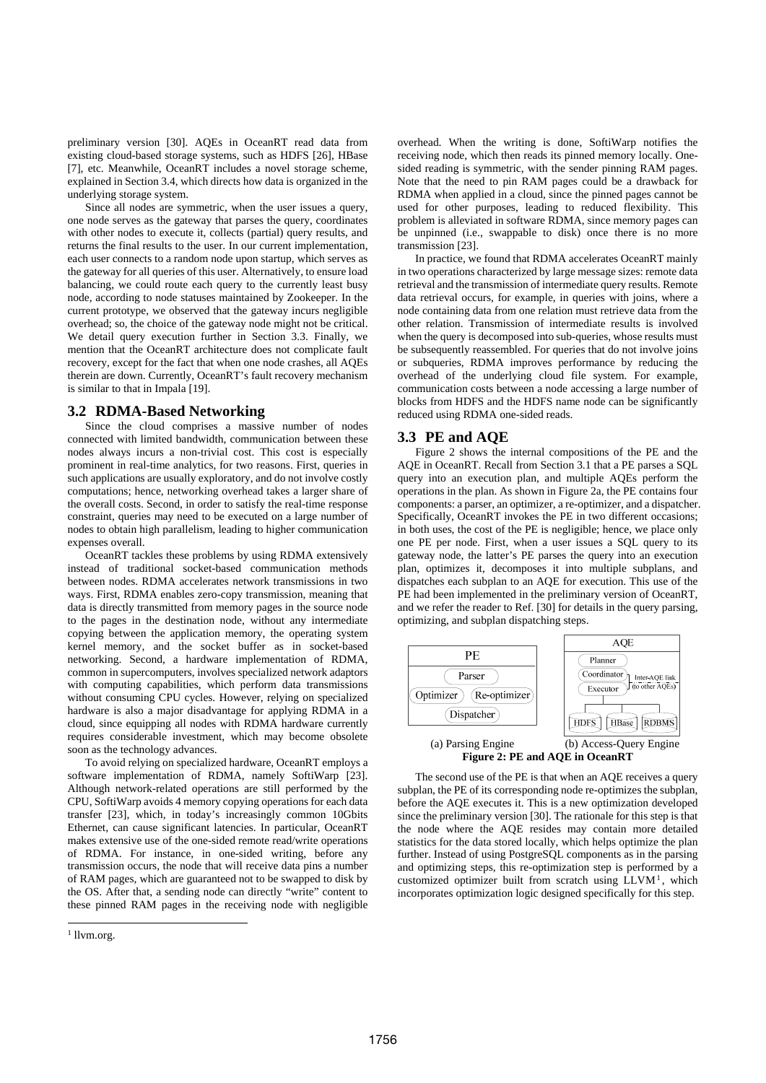preliminary version [30]. AQEs in OceanRT read data from existing cloud-based storage systems, such as HDFS [26], HBase [7], etc. Meanwhile, OceanRT includes a novel storage scheme, explained in Section 3.4, which directs how data is organized in the underlying storage system.

Since all nodes are symmetric, when the user issues a query, one node serves as the gateway that parses the query, coordinates with other nodes to execute it, collects (partial) query results, and returns the final results to the user. In our current implementation, each user connects to a random node upon startup, which serves as the gateway for all queries of this user. Alternatively, to ensure load balancing, we could route each query to the currently least busy node, according to node statuses maintained by Zookeeper. In the current prototype, we observed that the gateway incurs negligible overhead; so, the choice of the gateway node might not be critical. We detail query execution further in Section 3.3. Finally, we mention that the OceanRT architecture does not complicate fault recovery, except for the fact that when one node crashes, all AQEs therein are down. Currently, OceanRT's fault recovery mechanism is similar to that in Impala [19].

## **3.2 RDMA-Based Networking**

Since the cloud comprises a massive number of nodes connected with limited bandwidth, communication between these nodes always incurs a non-trivial cost. This cost is especially prominent in real-time analytics, for two reasons. First, queries in such applications are usually exploratory, and do not involve costly computations; hence, networking overhead takes a larger share of the overall costs. Second, in order to satisfy the real-time response constraint, queries may need to be executed on a large number of nodes to obtain high parallelism, leading to higher communication expenses overall.

OceanRT tackles these problems by using RDMA extensively instead of traditional socket-based communication methods between nodes. RDMA accelerates network transmissions in two ways. First, RDMA enables zero-copy transmission, meaning that data is directly transmitted from memory pages in the source node to the pages in the destination node, without any intermediate copying between the application memory, the operating system kernel memory, and the socket buffer as in socket-based networking. Second, a hardware implementation of RDMA, common in supercomputers, involves specialized network adaptors with computing capabilities, which perform data transmissions without consuming CPU cycles. However, relying on specialized hardware is also a major disadvantage for applying RDMA in a cloud, since equipping all nodes with RDMA hardware currently requires considerable investment, which may become obsolete soon as the technology advances.

To avoid relying on specialized hardware, OceanRT employs a software implementation of RDMA, namely SoftiWarp [23]. Although network-related operations are still performed by the CPU, SoftiWarp avoids 4 memory copying operations for each data transfer [23], which, in today's increasingly common 10Gbits Ethernet, can cause significant latencies. In particular, OceanRT makes extensive use of the one-sided remote read/write operations of RDMA. For instance, in one-sided writing, before any transmission occurs, the node that will receive data pins a number of RAM pages, which are guaranteed not to be swapped to disk by the OS. After that, a sending node can directly "write" content to these pinned RAM pages in the receiving node with negligible

<u>.</u>

overhead. When the writing is done, SoftiWarp notifies the receiving node, which then reads its pinned memory locally. Onesided reading is symmetric, with the sender pinning RAM pages. Note that the need to pin RAM pages could be a drawback for RDMA when applied in a cloud, since the pinned pages cannot be used for other purposes, leading to reduced flexibility. This problem is alleviated in software RDMA, since memory pages can be unpinned (i.e., swappable to disk) once there is no more transmission [23].

In practice, we found that RDMA accelerates OceanRT mainly in two operations characterized by large message sizes: remote data retrieval and the transmission of intermediate query results. Remote data retrieval occurs, for example, in queries with joins, where a node containing data from one relation must retrieve data from the other relation. Transmission of intermediate results is involved when the query is decomposed into sub-queries, whose results must be subsequently reassembled. For queries that do not involve joins or subqueries, RDMA improves performance by reducing the overhead of the underlying cloud file system. For example, communication costs between a node accessing a large number of blocks from HDFS and the HDFS name node can be significantly reduced using RDMA one-sided reads.

#### **3.3 PE and AQE**

Figure 2 shows the internal compositions of the PE and the AQE in OceanRT. Recall from Section 3.1 that a PE parses a SQL query into an execution plan, and multiple AQEs perform the operations in the plan. As shown in Figure 2a, the PE contains four components: a parser, an optimizer, a re-optimizer, and a dispatcher. Specifically, OceanRT invokes the PE in two different occasions: in both uses, the cost of the PE is negligible; hence, we place only one PE per node. First, when a user issues a SQL query to its gateway node, the latter's PE parses the query into an execution plan, optimizes it, decomposes it into multiple subplans, and dispatches each subplan to an AQE for execution. This use of the PE had been implemented in the preliminary version of OceanRT, and we refer the reader to Ref. [30] for details in the query parsing, optimizing, and subplan dispatching steps.



**Figure 2: PE and AQE in OceanRT** 

The second use of the PE is that when an AQE receives a query subplan, the PE of its corresponding node re-optimizes the subplan, before the AQE executes it. This is a new optimization developed since the preliminary version [30]. The rationale for this step is that the node where the AQE resides may contain more detailed statistics for the data stored locally, which helps optimize the plan further. Instead of using PostgreSQL components as in the parsing and optimizing steps, this re-optimization step is performed by a customized optimizer built from scratch using LLVM<sup>1</sup>, which incorporates optimization logic designed specifically for this step.

<sup>&</sup>lt;sup>1</sup> llvm.org.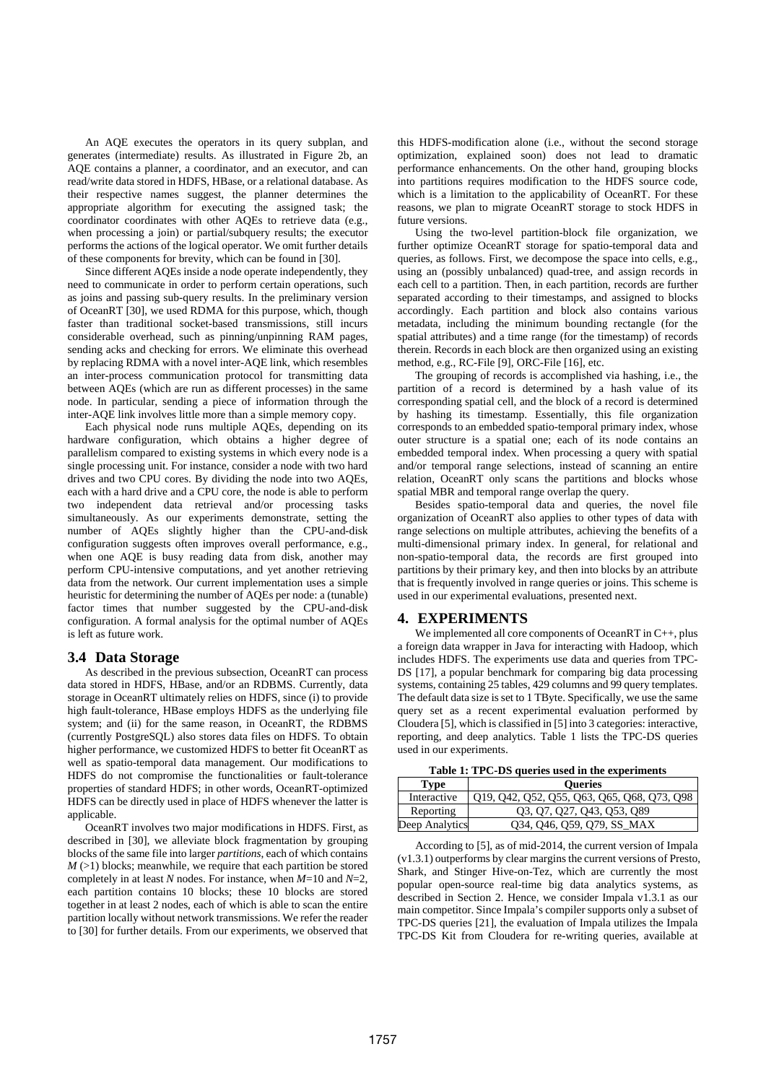An AQE executes the operators in its query subplan, and generates (intermediate) results. As illustrated in Figure 2b, an AQE contains a planner, a coordinator, and an executor, and can read/write data stored in HDFS, HBase, or a relational database. As their respective names suggest, the planner determines the appropriate algorithm for executing the assigned task; the coordinator coordinates with other AQEs to retrieve data (e.g., when processing a join) or partial/subquery results; the executor performs the actions of the logical operator. We omit further details of these components for brevity, which can be found in [30].

Since different AQEs inside a node operate independently, they need to communicate in order to perform certain operations, such as joins and passing sub-query results. In the preliminary version of OceanRT [30], we used RDMA for this purpose, which, though faster than traditional socket-based transmissions, still incurs considerable overhead, such as pinning/unpinning RAM pages, sending acks and checking for errors. We eliminate this overhead by replacing RDMA with a novel inter-AQE link, which resembles an inter-process communication protocol for transmitting data between AQEs (which are run as different processes) in the same node. In particular, sending a piece of information through the inter-AQE link involves little more than a simple memory copy.

Each physical node runs multiple AQEs, depending on its hardware configuration, which obtains a higher degree of parallelism compared to existing systems in which every node is a single processing unit. For instance, consider a node with two hard drives and two CPU cores. By dividing the node into two AQEs, each with a hard drive and a CPU core, the node is able to perform two independent data retrieval and/or processing tasks simultaneously. As our experiments demonstrate, setting the number of AQEs slightly higher than the CPU-and-disk configuration suggests often improves overall performance, e.g., when one AQE is busy reading data from disk, another may perform CPU-intensive computations, and yet another retrieving data from the network. Our current implementation uses a simple heuristic for determining the number of AQEs per node: a (tunable) factor times that number suggested by the CPU-and-disk configuration. A formal analysis for the optimal number of AQEs is left as future work.

### **3.4 Data Storage**

As described in the previous subsection, OceanRT can process data stored in HDFS, HBase, and/or an RDBMS. Currently, data storage in OceanRT ultimately relies on HDFS, since (i) to provide high fault-tolerance, HBase employs HDFS as the underlying file system; and (ii) for the same reason, in OceanRT, the RDBMS (currently PostgreSQL) also stores data files on HDFS. To obtain higher performance, we customized HDFS to better fit OceanRT as well as spatio-temporal data management. Our modifications to HDFS do not compromise the functionalities or fault-tolerance properties of standard HDFS; in other words, OceanRT-optimized HDFS can be directly used in place of HDFS whenever the latter is applicable.

OceanRT involves two major modifications in HDFS. First, as described in [30], we alleviate block fragmentation by grouping blocks of the same file into larger *partitions*, each of which contains  $M$  ( $>1$ ) blocks; meanwhile, we require that each partition be stored completely in at least *N* nodes. For instance, when *M*=10 and *N*=2, each partition contains 10 blocks; these 10 blocks are stored together in at least 2 nodes, each of which is able to scan the entire partition locally without network transmissions. We refer the reader to [30] for further details. From our experiments, we observed that

this HDFS-modification alone (i.e., without the second storage optimization, explained soon) does not lead to dramatic performance enhancements. On the other hand, grouping blocks into partitions requires modification to the HDFS source code, which is a limitation to the applicability of OceanRT. For these reasons, we plan to migrate OceanRT storage to stock HDFS in future versions.

Using the two-level partition-block file organization, we further optimize OceanRT storage for spatio-temporal data and queries, as follows. First, we decompose the space into cells, e.g., using an (possibly unbalanced) quad-tree, and assign records in each cell to a partition. Then, in each partition, records are further separated according to their timestamps, and assigned to blocks accordingly. Each partition and block also contains various metadata, including the minimum bounding rectangle (for the spatial attributes) and a time range (for the timestamp) of records therein. Records in each block are then organized using an existing method, e.g., RC-File [9], ORC-File [16], etc.

The grouping of records is accomplished via hashing, i.e., the partition of a record is determined by a hash value of its corresponding spatial cell, and the block of a record is determined by hashing its timestamp. Essentially, this file organization corresponds to an embedded spatio-temporal primary index, whose outer structure is a spatial one; each of its node contains an embedded temporal index. When processing a query with spatial and/or temporal range selections, instead of scanning an entire relation, OceanRT only scans the partitions and blocks whose spatial MBR and temporal range overlap the query.

Besides spatio-temporal data and queries, the novel file organization of OceanRT also applies to other types of data with range selections on multiple attributes, achieving the benefits of a multi-dimensional primary index. In general, for relational and non-spatio-temporal data, the records are first grouped into partitions by their primary key, and then into blocks by an attribute that is frequently involved in range queries or joins. This scheme is used in our experimental evaluations, presented next.

## **4. EXPERIMENTS**

We implemented all core components of OceanRT in C++, plus a foreign data wrapper in Java for interacting with Hadoop, which includes HDFS. The experiments use data and queries from TPC-DS [17], a popular benchmark for comparing big data processing systems, containing 25 tables, 429 columns and 99 query templates. The default data size is set to 1 TByte. Specifically, we use the same query set as a recent experimental evaluation performed by Cloudera [5], which is classified in [5] into 3 categories: interactive, reporting, and deep analytics. Table 1 lists the TPC-DS queries used in our experiments.

|  |  | Table 1: TPC-DS queries used in the experiments |
|--|--|-------------------------------------------------|
|  |  |                                                 |

| Type           | <b>Oueries</b>                              |
|----------------|---------------------------------------------|
| Interactive    | Q19, Q42, Q52, Q55, Q63, Q65, Q68, Q73, Q98 |
| Reporting      | Q3, Q7, Q27, Q43, Q53, Q89                  |
| Deep Analytics | Q34, Q46, Q59, Q79, SS_MAX                  |

According to [5], as of mid-2014, the current version of Impala (v1.3.1) outperforms by clear margins the current versions of Presto, Shark, and Stinger Hive-on-Tez, which are currently the most popular open-source real-time big data analytics systems, as described in Section 2. Hence, we consider Impala v1.3.1 as our main competitor. Since Impala's compiler supports only a subset of TPC-DS queries [21], the evaluation of Impala utilizes the Impala TPC-DS Kit from Cloudera for re-writing queries, available at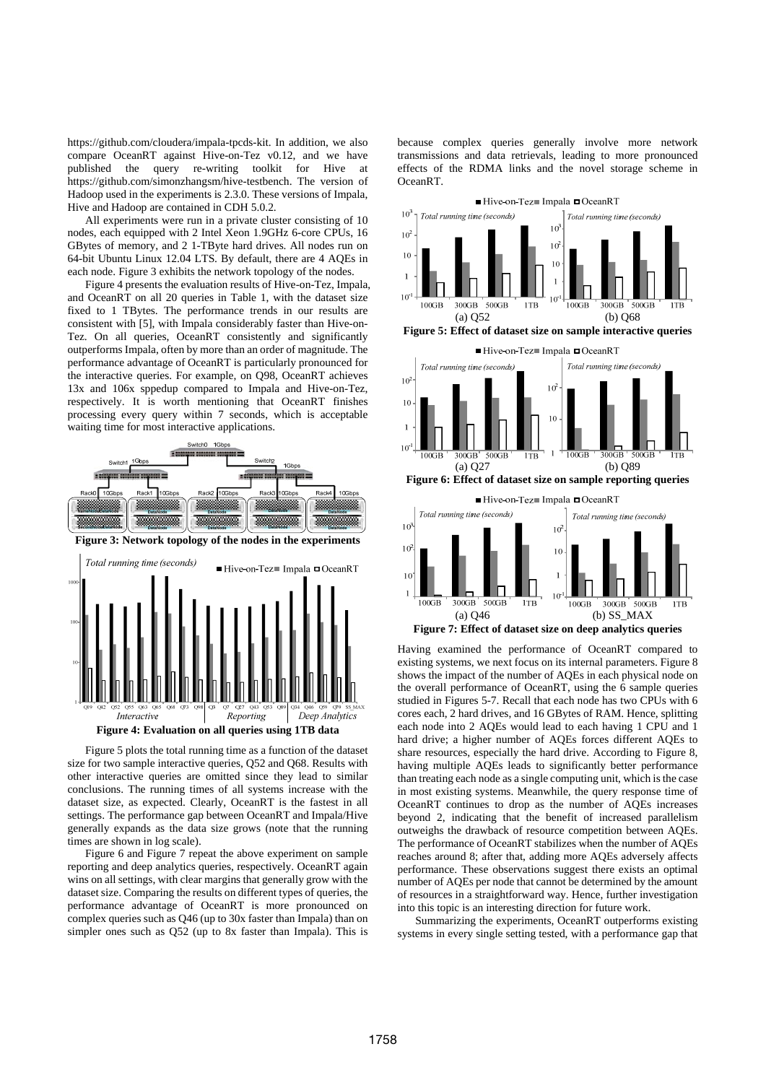https://github.com/cloudera/impala-tpcds-kit. In addition, we also compare OceanRT against Hive-on-Tez v0.12, and we have published the query re-writing toolkit for Hive at https://github.com/simonzhangsm/hive-testbench. The version of Hadoop used in the experiments is 2.3.0. These versions of Impala, Hive and Hadoop are contained in CDH 5.0.2.

All experiments were run in a private cluster consisting of 10 nodes, each equipped with 2 Intel Xeon 1.9GHz 6-core CPUs, 16 GBytes of memory, and 2 1-TByte hard drives. All nodes run on 64-bit Ubuntu Linux 12.04 LTS. By default, there are 4 AQEs in each node. Figure 3 exhibits the network topology of the nodes.

Figure 4 presents the evaluation results of Hive-on-Tez, Impala, and OceanRT on all 20 queries in Table 1, with the dataset size fixed to 1 TBytes. The performance trends in our results are consistent with [5], with Impala considerably faster than Hive-on-Tez. On all queries, OceanRT consistently and significantly outperforms Impala, often by more than an order of magnitude. The performance advantage of OceanRT is particularly pronounced for the interactive queries. For example, on Q98, OceanRT achieves 13x and 106x sppedup compared to Impala and Hive-on-Tez, respectively. It is worth mentioning that OceanRT finishes processing every query within 7 seconds, which is acceptable waiting time for most interactive applications.



Figure 5 plots the total running time as a function of the dataset size for two sample interactive queries, Q52 and Q68. Results with other interactive queries are omitted since they lead to similar conclusions. The running times of all systems increase with the dataset size, as expected. Clearly, OceanRT is the fastest in all settings. The performance gap between OceanRT and Impala/Hive generally expands as the data size grows (note that the running times are shown in log scale).

Figure 6 and Figure 7 repeat the above experiment on sample reporting and deep analytics queries, respectively. OceanRT again wins on all settings, with clear margins that generally grow with the dataset size. Comparing the results on different types of queries, the performance advantage of OceanRT is more pronounced on complex queries such as Q46 (up to 30x faster than Impala) than on simpler ones such as Q52 (up to 8x faster than Impala). This is because complex queries generally involve more network transmissions and data retrievals, leading to more pronounced effects of the RDMA links and the novel storage scheme in OceanRT.







Having examined the performance of OceanRT compared to existing systems, we next focus on its internal parameters. Figure 8 shows the impact of the number of AQEs in each physical node on the overall performance of OceanRT, using the 6 sample queries studied in Figures 5-7. Recall that each node has two CPUs with 6 cores each, 2 hard drives, and 16 GBytes of RAM. Hence, splitting each node into 2 AQEs would lead to each having 1 CPU and 1 hard drive; a higher number of AQEs forces different AQEs to share resources, especially the hard drive. According to Figure 8, having multiple AQEs leads to significantly better performance than treating each node as a single computing unit, which is the case in most existing systems. Meanwhile, the query response time of OceanRT continues to drop as the number of AQEs increases beyond 2, indicating that the benefit of increased parallelism outweighs the drawback of resource competition between AQEs. The performance of OceanRT stabilizes when the number of AQEs reaches around 8; after that, adding more AQEs adversely affects performance. These observations suggest there exists an optimal number of AQEs per node that cannot be determined by the amount of resources in a straightforward way. Hence, further investigation into this topic is an interesting direction for future work.

Summarizing the experiments, OceanRT outperforms existing systems in every single setting tested, with a performance gap that